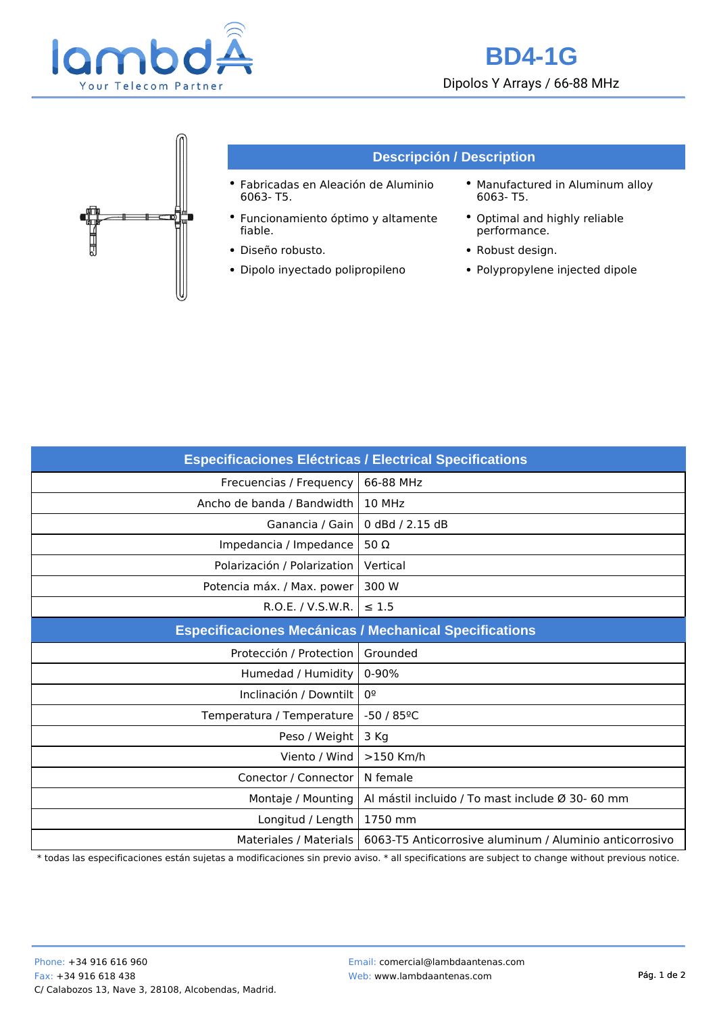



| <b>Especificaciones Eléctricas / Electrical Specifications</b> |                                                         |
|----------------------------------------------------------------|---------------------------------------------------------|
| Frecuencias / Frequency                                        | 66-88 MHz                                               |
| Ancho de banda / Bandwidth                                     | 10 MHz                                                  |
| Ganancia / Gain                                                | 0 dBd / 2.15 dB                                         |
| Impedancia / Impedance                                         | 50 $\Omega$                                             |
| Polarización / Polarization                                    | Vertical                                                |
| Potencia máx. / Max. power                                     | 300 W                                                   |
| R.O.E. / V.S.W.R.                                              | $\leq 1.5$                                              |
| <b>Especificaciones Mecánicas / Mechanical Specifications</b>  |                                                         |
| Protección / Protection                                        | Grounded                                                |
| Humedad / Humidity                                             | $0 - 90%$                                               |
| Inclinación / Downtilt                                         | 0º                                                      |
| Temperatura / Temperature                                      | $-50/85$ <sup>o</sup> C                                 |
| Peso / Weight                                                  | 3 Kg                                                    |
| Viento / Wind                                                  | $>150$ Km/h                                             |
| Conector / Connector                                           | N female                                                |
| Montaje / Mounting                                             | Al mástil incluido / To mast include Ø 30- 60 mm        |
| Longitud / Length                                              | 1750 mm                                                 |
| Materiales / Materials                                         | 6063-T5 Anticorrosive aluminum / Aluminio anticorrosivo |

\* todas las especificaciones están sujetas a modificaciones sin previo aviso. \* all specifications are subject to change without previous notice.